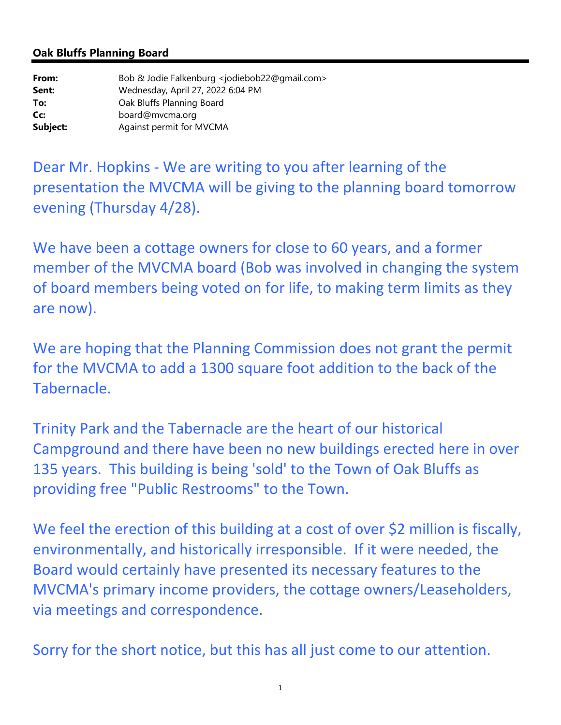## **Oak Bluffs Planning Board**

| From:    | Bob & Jodie Falkenburg <jodiebob22@gmail.com></jodiebob22@gmail.com> |
|----------|----------------------------------------------------------------------|
| Sent:    | Wednesday, April 27, 2022 6:04 PM                                    |
| To:      | Oak Bluffs Planning Board                                            |
| Cc:      | board@mvcma.org                                                      |
| Subject: | Against permit for MVCMA                                             |

Dear Mr. Hopkins ‐ We are writing to you after learning of the presentation the MVCMA will be giving to the planning board tomorrow evening (Thursday 4/28).

We have been a cottage owners for close to 60 years, and a former member of the MVCMA board (Bob was involved in changing the system of board members being voted on for life, to making term limits as they are now).

We are hoping that the Planning Commission does not grant the permit for the MVCMA to add a 1300 square foot addition to the back of the Tabernacle.

Trinity Park and the Tabernacle are the heart of our historical Campground and there have been no new buildings erected here in over 135 years. This building is being 'sold' to the Town of Oak Bluffs as providing free "Public Restrooms" to the Town.

We feel the erection of this building at a cost of over \$2 million is fiscally, environmentally, and historically irresponsible. If it were needed, the Board would certainly have presented its necessary features to the MVCMA's primary income providers, the cottage owners/Leaseholders, via meetings and correspondence.

Sorry for the short notice, but this has all just come to our attention.